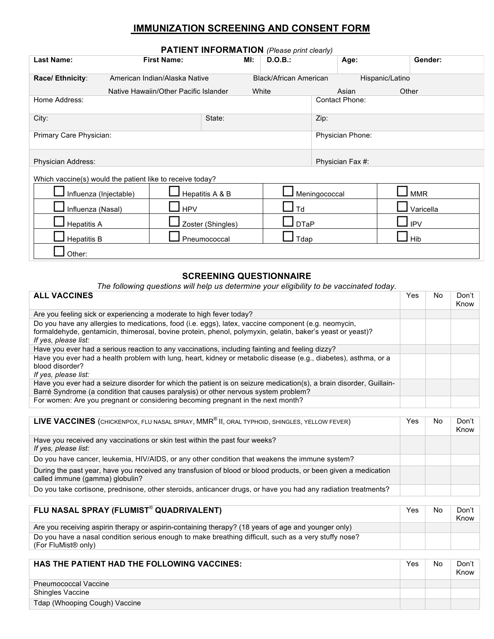# **IMMUNIZATION SCREENING AND CONSENT FORM**

| <b>PATIENT INFORMATION</b> (Please print clearly)         |                                                                        |                   |                                 |                         |                          |  |  |  |  |
|-----------------------------------------------------------|------------------------------------------------------------------------|-------------------|---------------------------------|-------------------------|--------------------------|--|--|--|--|
| <b>First Name:</b><br><b>Last Name:</b>                   |                                                                        | MI:               | D.O.B.:                         | Age:                    | Gender:                  |  |  |  |  |
| Race/ Ethnicity:                                          | American Indian/Alaska Native<br>Native Hawaiin/Other Pacific Islander |                   | Black/African American<br>White | Asian                   | Hispanic/Latino<br>Other |  |  |  |  |
| Home Address:                                             |                                                                        |                   |                                 | <b>Contact Phone:</b>   |                          |  |  |  |  |
| City:                                                     |                                                                        | State:            |                                 | Zip:                    |                          |  |  |  |  |
| Primary Care Physician:                                   |                                                                        |                   |                                 | <b>Physician Phone:</b> |                          |  |  |  |  |
| <b>Physician Address:</b>                                 |                                                                        |                   |                                 | Physician Fax #:        |                          |  |  |  |  |
| Which vaccine(s) would the patient like to receive today? |                                                                        |                   |                                 |                         |                          |  |  |  |  |
| Influenza (Injectable)                                    |                                                                        | Hepatitis A & B   | Meningococcal                   | <b>MMR</b>              |                          |  |  |  |  |
| Influenza (Nasal)                                         | <b>HPV</b>                                                             |                   | $\overline{\mathsf{d}}$         |                         | Varicella                |  |  |  |  |
| <b>Hepatitis A</b>                                        |                                                                        | Zoster (Shingles) | <b>DTaP</b>                     |                         | <b>IPV</b>               |  |  |  |  |
| <b>Hepatitis B</b>                                        | Pneumococcal                                                           | Tdap              |                                 | Hib                     |                          |  |  |  |  |
| Other:                                                    |                                                                        |                   |                                 |                         |                          |  |  |  |  |

### **SCREENING QUESTIONNAIRE**

*The following questions will help us determine your eligibility to be vaccinated today.*

| <b>ALL VACCINES</b>                                                                                                                                                                                                                        | Yes. | No. | Don't<br>Know |
|--------------------------------------------------------------------------------------------------------------------------------------------------------------------------------------------------------------------------------------------|------|-----|---------------|
| Are you feeling sick or experiencing a moderate to high fever today?                                                                                                                                                                       |      |     |               |
| Do you have any allergies to medications, food (i.e. eggs), latex, vaccine component (e.g. neomycin,<br>formaldehyde, gentamicin, thimerosal, bovine protein, phenol, polymyxin, gelatin, baker's yeast or yeast)?<br>If yes, please list: |      |     |               |
| Have you ever had a serious reaction to any vaccinations, including fainting and feeling dizzy?                                                                                                                                            |      |     |               |
| Have you ever had a health problem with lung, heart, kidney or metabolic disease (e.g., diabetes), asthma, or a<br>blood disorder?<br>If yes, please list:                                                                                 |      |     |               |
| Have you ever had a seizure disorder for which the patient is on seizure medication(s), a brain disorder, Guillain-<br>Barré Syndrome (a condition that causes paralysis) or other nervous system problem?                                 |      |     |               |
| For women: Are you pregnant or considering becoming pregnant in the next month?                                                                                                                                                            |      |     |               |

| LIVE VACCINES (CHICKENPOX, FLU NASAL SPRAY, MMR <sup>®</sup> II, ORAL TYPHOID, SHINGLES, YELLOW FEVER)                                            | Yes. | No. | Don't<br>Know |
|---------------------------------------------------------------------------------------------------------------------------------------------------|------|-----|---------------|
| Have you received any vaccinations or skin test within the past four weeks?<br>If yes, please list:                                               |      |     |               |
| Do you have cancer, leukemia, HIV/AIDS, or any other condition that weakens the immune system?                                                    |      |     |               |
| During the past year, have you received any transfusion of blood or blood products, or been given a medication<br>called immune (gamma) globulin? |      |     |               |
| Do you take cortisone, prednisone, other steroids, anticancer drugs, or have you had any radiation treatments?                                    |      |     |               |

| FLU NASAL SPRAY (FLUMIST® QUADRIVALENT)                                                                                                  | Yes | No | Don't<br>Know |
|------------------------------------------------------------------------------------------------------------------------------------------|-----|----|---------------|
| Are you receiving aspirin therapy or aspirin-containing therapy? (18 years of age and younger only)                                      |     |    |               |
| Do you have a nasal condition serious enough to make breathing difficult, such as a very stuffy nose?<br>(For FluMist <sup>®</sup> only) |     |    |               |

| <b>HAS THE PATIENT HAD THE FOLLOWING VACCINES:</b> | Yes | No | Don't<br>Know |
|----------------------------------------------------|-----|----|---------------|
| <b>Pneumococcal Vaccine</b>                        |     |    |               |
| <b>Shingles Vaccine</b>                            |     |    |               |
| Tdap (Whooping Cough) Vaccine                      |     |    |               |